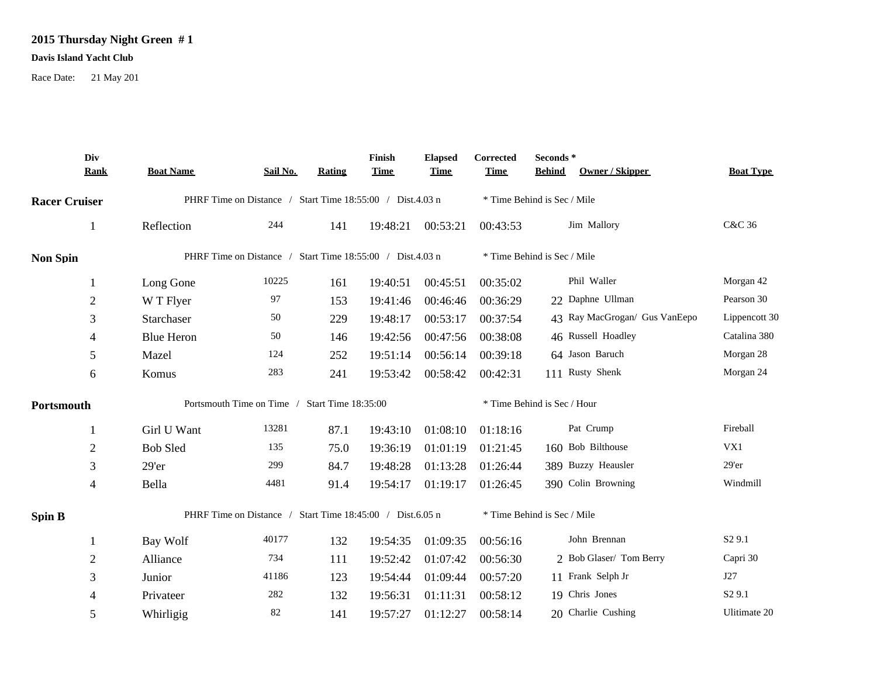## **2015 Thursday Night Green # 1**

## **Davis Island Yacht Club**

Race Date: 21 May 201

|                      | Div<br><b>Rank</b> | <b>Boat Name</b>                                          | Sail No.                                                  | Rating | Finish<br><b>Time</b>       | <b>Elapsed</b><br><b>Time</b> | Corrected<br><b>Time</b>    | Seconds*<br>Owner / Skipper<br><b>Behind</b> | <b>Boat Type</b>   |  |
|----------------------|--------------------|-----------------------------------------------------------|-----------------------------------------------------------|--------|-----------------------------|-------------------------------|-----------------------------|----------------------------------------------|--------------------|--|
| <b>Racer Cruiser</b> |                    |                                                           | PHRF Time on Distance / Start Time 18:55:00 / Dist.4.03 n |        | * Time Behind is Sec / Mile |                               |                             |                                              |                    |  |
|                      |                    | Reflection                                                | 244                                                       | 141    | 19:48:21                    | 00:53:21                      | 00:43:53                    | Jim Mallory                                  | C&C 36             |  |
| <b>Non Spin</b>      |                    | PHRF Time on Distance / Start Time 18:55:00 / Dist.4.03 n |                                                           |        |                             |                               |                             | * Time Behind is Sec / Mile                  |                    |  |
|                      |                    | Long Gone                                                 | 10225                                                     | 161    | 19:40:51                    | 00:45:51                      | 00:35:02                    | Phil Waller                                  | Morgan 42          |  |
|                      | $\overline{2}$     | W T Flyer                                                 | 97                                                        | 153    | 19:41:46                    | 00:46:46                      | 00:36:29                    | 22 Daphne Ullman                             | Pearson 30         |  |
|                      | 3                  | Starchaser                                                | 50                                                        | 229    | 19:48:17                    | 00:53:17                      | 00:37:54                    | 43 Ray MacGrogan/ Gus VanEepo                | Lippencott 30      |  |
|                      | 4                  | <b>Blue Heron</b>                                         | 50                                                        | 146    | 19:42:56                    | 00:47:56                      | 00:38:08                    | 46 Russell Hoadley                           | Catalina 380       |  |
|                      | 5                  | Mazel                                                     | 124                                                       | 252    | 19:51:14                    | 00:56:14                      | 00:39:18                    | 64 Jason Baruch                              | Morgan 28          |  |
|                      | 6                  | Komus                                                     | 283                                                       | 241    | 19:53:42                    | 00:58:42                      | 00:42:31                    | 111 Rusty Shenk                              | Morgan 24          |  |
| Portsmouth           |                    | Portsmouth Time on Time /<br>Start Time 18:35:00          |                                                           |        |                             |                               | * Time Behind is Sec / Hour |                                              |                    |  |
|                      | 1                  | Girl U Want                                               | 13281                                                     | 87.1   | 19:43:10                    | 01:08:10                      | 01:18:16                    | Pat Crump                                    | Fireball           |  |
|                      | $\overline{2}$     | <b>Bob Sled</b>                                           | 135                                                       | 75.0   | 19:36:19                    | 01:01:19                      | 01:21:45                    | 160 Bob Bilthouse                            | VX1                |  |
|                      | 3                  | 29'er                                                     | 299                                                       | 84.7   | 19:48:28                    | 01:13:28                      | 01:26:44                    | 389 Buzzy Heausler                           | $29'$ er           |  |
|                      | 4                  | Bella                                                     | 4481                                                      | 91.4   | 19:54:17                    | 01:19:17                      | 01:26:45                    | 390 Colin Browning                           | Windmill           |  |
| <b>Spin B</b>        |                    | PHRF Time on Distance / Start Time 18:45:00 / Dist.6.05 n |                                                           |        |                             |                               |                             | * Time Behind is Sec / Mile                  |                    |  |
|                      | 1                  | Bay Wolf                                                  | 40177                                                     | 132    | 19:54:35                    | 01:09:35                      | 00:56:16                    | John Brennan                                 | S <sub>2</sub> 9.1 |  |
|                      | $\overline{2}$     | Alliance                                                  | 734                                                       | 111    | 19:52:42                    | 01:07:42                      | 00:56:30                    | 2 Bob Glaser/ Tom Berry                      | Capri 30           |  |
|                      | 3                  | Junior                                                    | 41186                                                     | 123    | 19:54:44                    | 01:09:44                      | 00:57:20                    | 11 Frank Selph Jr                            | J27                |  |
|                      | 4                  | Privateer                                                 | 282                                                       | 132    | 19:56:31                    | 01:11:31                      | 00:58:12                    | 19 Chris Jones                               | S <sub>2</sub> 9.1 |  |
|                      | 5                  | Whirligig                                                 | 82                                                        | 141    | 19:57:27                    | 01:12:27                      | 00:58:14                    | 20 Charlie Cushing                           | Ulitimate 20       |  |